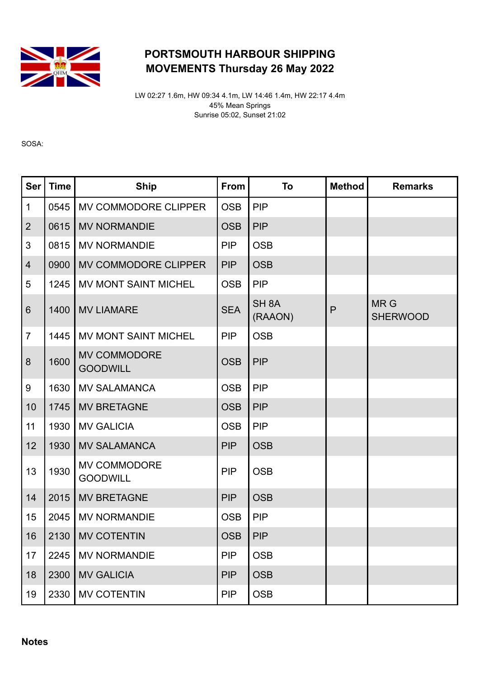

## PORTSMOUTH HARBOUR SHIPPING MOVEMENTS Thursday 26 May 2022

LW 02:27 1.6m, HW 09:34 4.1m, LW 14:46 1.4m, HW 22:17 4.4m 45% Mean Springs Sunrise 05:02, Sunset 21:02

SOSA:

| <b>Ser</b>       | <b>Time</b> | <b>Ship</b>                            | From       | To                          | <b>Method</b> | <b>Remarks</b>                |
|------------------|-------------|----------------------------------------|------------|-----------------------------|---------------|-------------------------------|
| $\mathbf{1}$     | 0545        | MV COMMODORE CLIPPER                   | <b>OSB</b> | <b>PIP</b>                  |               |                               |
| $\overline{2}$   | 0615        | <b>MV NORMANDIE</b>                    | <b>OSB</b> | <b>PIP</b>                  |               |                               |
| 3                | 0815        | <b>MV NORMANDIE</b>                    | <b>PIP</b> | <b>OSB</b>                  |               |                               |
| $\overline{4}$   | 0900        | MV COMMODORE CLIPPER                   | <b>PIP</b> | <b>OSB</b>                  |               |                               |
| 5                | 1245        | MV MONT SAINT MICHEL                   | <b>OSB</b> | <b>PIP</b>                  |               |                               |
| $6\phantom{1}$   | 1400        | <b>MV LIAMARE</b>                      | <b>SEA</b> | SH <sub>8A</sub><br>(RAAON) | P             | <b>MRG</b><br><b>SHERWOOD</b> |
| $\overline{7}$   | 1445        | <b>MV MONT SAINT MICHEL</b>            | <b>PIP</b> | <b>OSB</b>                  |               |                               |
| $\boldsymbol{8}$ | 1600        | <b>MV COMMODORE</b><br><b>GOODWILL</b> | <b>OSB</b> | <b>PIP</b>                  |               |                               |
| $\boldsymbol{9}$ | 1630        | <b>MV SALAMANCA</b>                    | <b>OSB</b> | <b>PIP</b>                  |               |                               |
| 10               | 1745        | <b>MV BRETAGNE</b>                     | <b>OSB</b> | <b>PIP</b>                  |               |                               |
| 11               | 1930        | <b>MV GALICIA</b>                      | <b>OSB</b> | <b>PIP</b>                  |               |                               |
| 12               | 1930        | <b>MV SALAMANCA</b>                    | <b>PIP</b> | <b>OSB</b>                  |               |                               |
| 13               | 1930        | <b>MV COMMODORE</b><br><b>GOODWILL</b> | <b>PIP</b> | <b>OSB</b>                  |               |                               |
| 14               | 2015        | <b>MV BRETAGNE</b>                     | <b>PIP</b> | <b>OSB</b>                  |               |                               |
| 15               | 2045        | <b>MV NORMANDIE</b>                    | <b>OSB</b> | <b>PIP</b>                  |               |                               |
| 16               |             | 2130   MV COTENTIN                     | <b>OSB</b> | <b>PIP</b>                  |               |                               |
| 17               | 2245        | <b>MV NORMANDIE</b>                    | <b>PIP</b> | <b>OSB</b>                  |               |                               |
| 18               | 2300        | <b>MV GALICIA</b>                      | <b>PIP</b> | <b>OSB</b>                  |               |                               |
| 19               | 2330        | <b>MV COTENTIN</b>                     | <b>PIP</b> | <b>OSB</b>                  |               |                               |